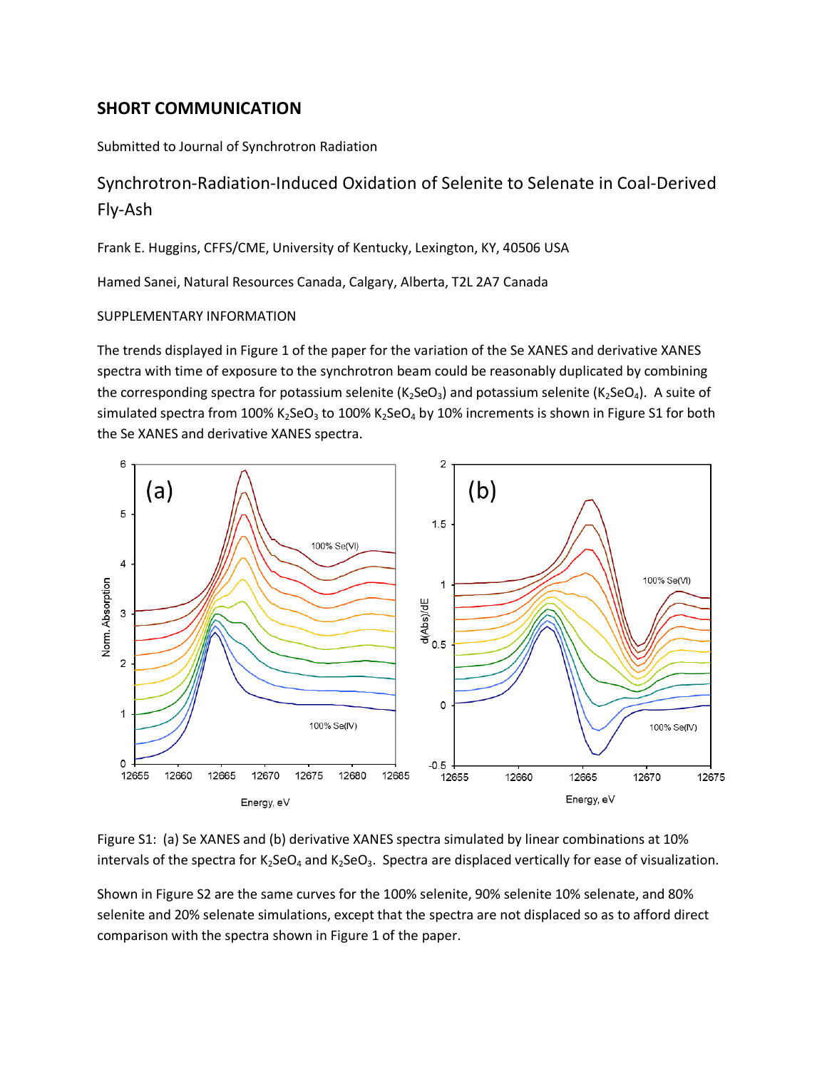## **SHORT COMMUNICATION**

Submitted to Journal of Synchrotron Radiation

## Synchrotron-Radiation-Induced Oxidation of Selenite to Selenate in Coal-Derived Fly-Ash

Frank E. Huggins, CFFS/CME, University of Kentucky, Lexington, KY, 40506 USA

Hamed Sanei, Natural Resources Canada, Calgary, Alberta, T2L 2A7 Canada

## SUPPLEMENTARY INFORMATION

The trends displayed in Figure 1 of the paper for the variation of the Se XANES and derivative XANES spectra with time of exposure to the synchrotron beam could be reasonably duplicated by combining the corresponding spectra for potassium selenite  $(K_2$ SeO<sub>3</sub>) and potassium selenite  $(K_2$ SeO<sub>4</sub>). A suite of simulated spectra from 100% K<sub>2</sub>SeO<sub>3</sub> to 100% K<sub>2</sub>SeO<sub>4</sub> by 10% increments is shown in Figure S1 for both the Se XANES and derivative XANES spectra.



Figure S1: (a) Se XANES and (b) derivative XANES spectra simulated by linear combinations at 10% intervals of the spectra for  $K_2$ SeO<sub>4</sub> and  $K_2$ SeO<sub>3</sub>. Spectra are displaced vertically for ease of visualization.

Shown in Figure S2 are the same curves for the 100% selenite, 90% selenite 10% selenate, and 80% selenite and 20% selenate simulations, except that the spectra are not displaced so as to afford direct comparison with the spectra shown in Figure 1 of the paper.